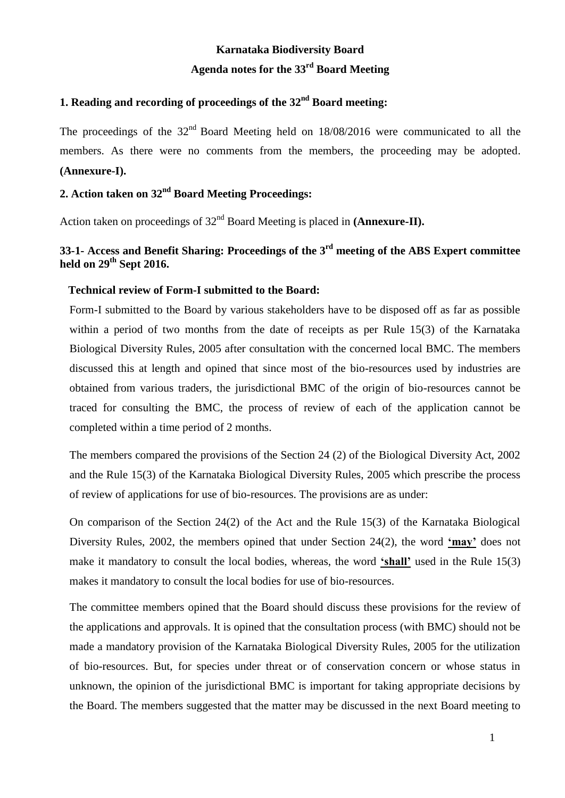# **Karnataka Biodiversity Board Agenda notes for the 33 rd Board Meeting**

## **1. Reading and recording of proceedings of the 32 nd Board meeting:**

The proceedings of the  $32<sup>nd</sup>$  Board Meeting held on  $18/08/2016$  were communicated to all the members. As there were no comments from the members, the proceeding may be adopted. **(Annexure-I).**

## 2. Action taken on 32<sup>nd</sup> Board Meeting Proceedings:

Action taken on proceedings of 32<sup>nd</sup> Board Meeting is placed in (Annexure-II).

## **33-1- Access and Benefit Sharing: Proceedings of the 3rd meeting of the ABS Expert committee held on 29th Sept 2016.**

#### **Technical review of Form-I submitted to the Board:**

Form-I submitted to the Board by various stakeholders have to be disposed off as far as possible within a period of two months from the date of receipts as per Rule 15(3) of the Karnataka Biological Diversity Rules, 2005 after consultation with the concerned local BMC. The members discussed this at length and opined that since most of the bio-resources used by industries are obtained from various traders, the jurisdictional BMC of the origin of bio-resources cannot be traced for consulting the BMC, the process of review of each of the application cannot be completed within a time period of 2 months.

The members compared the provisions of the Section 24 (2) of the Biological Diversity Act, 2002 and the Rule 15(3) of the Karnataka Biological Diversity Rules, 2005 which prescribe the process of review of applications for use of bio-resources. The provisions are as under:

On comparison of the Section 24(2) of the Act and the Rule 15(3) of the Karnataka Biological Diversity Rules, 2002, the members opined that under Section 24(2), the word **'may'** does not make it mandatory to consult the local bodies, whereas, the word **'shall'** used in the Rule 15(3) makes it mandatory to consult the local bodies for use of bio-resources.

The committee members opined that the Board should discuss these provisions for the review of the applications and approvals. It is opined that the consultation process (with BMC) should not be made a mandatory provision of the Karnataka Biological Diversity Rules, 2005 for the utilization of bio-resources. But, for species under threat or of conservation concern or whose status in unknown, the opinion of the jurisdictional BMC is important for taking appropriate decisions by the Board. The members suggested that the matter may be discussed in the next Board meeting to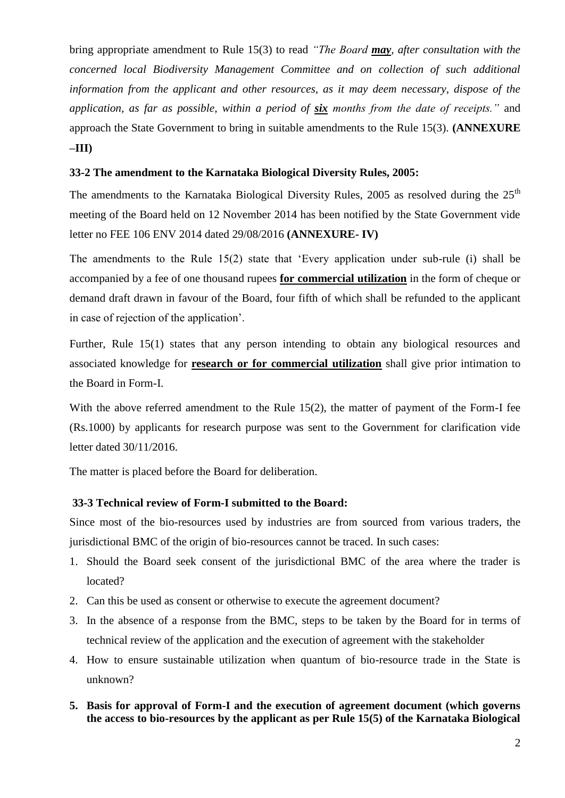bring appropriate amendment to Rule 15(3) to read *"The Board may, after consultation with the concerned local Biodiversity Management Committee and on collection of such additional information from the applicant and other resources, as it may deem necessary, dispose of the application, as far as possible, within a period of six months from the date of receipts."* and approach the State Government to bring in suitable amendments to the Rule 15(3). **(ANNEXURE –III)**

### **33-2 The amendment to the Karnataka Biological Diversity Rules, 2005:**

The amendments to the Karnataka Biological Diversity Rules, 2005 as resolved during the  $25<sup>th</sup>$ meeting of the Board held on 12 November 2014 has been notified by the State Government vide letter no FEE 106 ENV 2014 dated 29/08/2016 **(ANNEXURE- IV)**

The amendments to the Rule 15(2) state that 'Every application under sub-rule (i) shall be accompanied by a fee of one thousand rupees **for commercial utilization** in the form of cheque or demand draft drawn in favour of the Board, four fifth of which shall be refunded to the applicant in case of rejection of the application'.

Further, Rule 15(1) states that any person intending to obtain any biological resources and associated knowledge for **research or for commercial utilization** shall give prior intimation to the Board in Form-I.

With the above referred amendment to the Rule 15(2), the matter of payment of the Form-I fee (Rs.1000) by applicants for research purpose was sent to the Government for clarification vide letter dated 30/11/2016.

The matter is placed before the Board for deliberation.

#### **33-3 Technical review of Form-I submitted to the Board:**

Since most of the bio-resources used by industries are from sourced from various traders, the jurisdictional BMC of the origin of bio-resources cannot be traced. In such cases:

- 1. Should the Board seek consent of the jurisdictional BMC of the area where the trader is located?
- 2. Can this be used as consent or otherwise to execute the agreement document?
- 3. In the absence of a response from the BMC, steps to be taken by the Board for in terms of technical review of the application and the execution of agreement with the stakeholder
- 4. How to ensure sustainable utilization when quantum of bio-resource trade in the State is unknown?
- **5. Basis for approval of Form-I and the execution of agreement document (which governs the access to bio-resources by the applicant as per Rule 15(5) of the Karnataka Biological**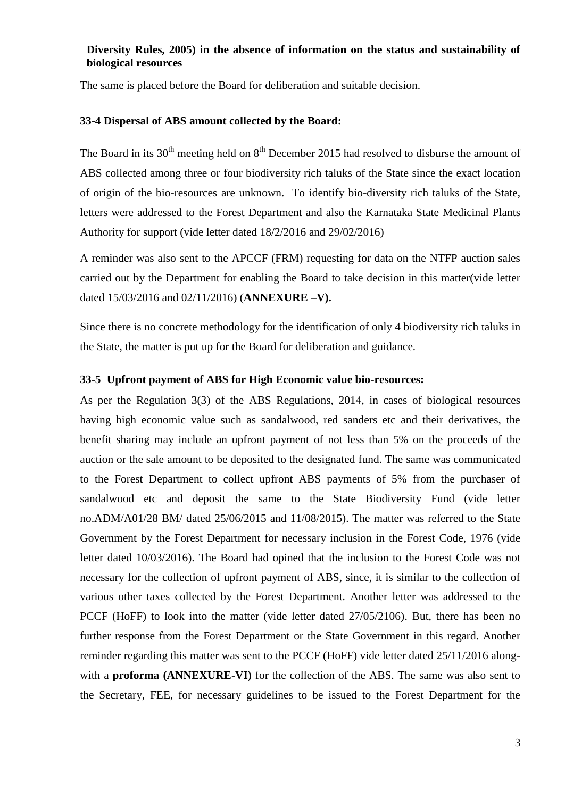## **Diversity Rules, 2005) in the absence of information on the status and sustainability of biological resources**

The same is placed before the Board for deliberation and suitable decision.

#### **33-4 Dispersal of ABS amount collected by the Board:**

The Board in its  $30<sup>th</sup>$  meeting held on  $8<sup>th</sup>$  December 2015 had resolved to disburse the amount of ABS collected among three or four biodiversity rich taluks of the State since the exact location of origin of the bio-resources are unknown. To identify bio-diversity rich taluks of the State, letters were addressed to the Forest Department and also the Karnataka State Medicinal Plants Authority for support (vide letter dated 18/2/2016 and 29/02/2016)

A reminder was also sent to the APCCF (FRM) requesting for data on the NTFP auction sales carried out by the Department for enabling the Board to take decision in this matter(vide letter dated 15/03/2016 and 02/11/2016) (**ANNEXURE –V).**

Since there is no concrete methodology for the identification of only 4 biodiversity rich taluks in the State, the matter is put up for the Board for deliberation and guidance.

#### **33-5 Upfront payment of ABS for High Economic value bio-resources:**

As per the Regulation 3(3) of the ABS Regulations, 2014, in cases of biological resources having high economic value such as sandalwood, red sanders etc and their derivatives, the benefit sharing may include an upfront payment of not less than 5% on the proceeds of the auction or the sale amount to be deposited to the designated fund. The same was communicated to the Forest Department to collect upfront ABS payments of 5% from the purchaser of sandalwood etc and deposit the same to the State Biodiversity Fund (vide letter no.ADM/A01/28 BM/ dated 25/06/2015 and 11/08/2015). The matter was referred to the State Government by the Forest Department for necessary inclusion in the Forest Code, 1976 (vide letter dated 10/03/2016). The Board had opined that the inclusion to the Forest Code was not necessary for the collection of upfront payment of ABS, since, it is similar to the collection of various other taxes collected by the Forest Department. Another letter was addressed to the PCCF (HoFF) to look into the matter (vide letter dated 27/05/2106). But, there has been no further response from the Forest Department or the State Government in this regard. Another reminder regarding this matter was sent to the PCCF (HoFF) vide letter dated 25/11/2016 alongwith a **proforma (ANNEXURE-VI)** for the collection of the ABS. The same was also sent to the Secretary, FEE, for necessary guidelines to be issued to the Forest Department for the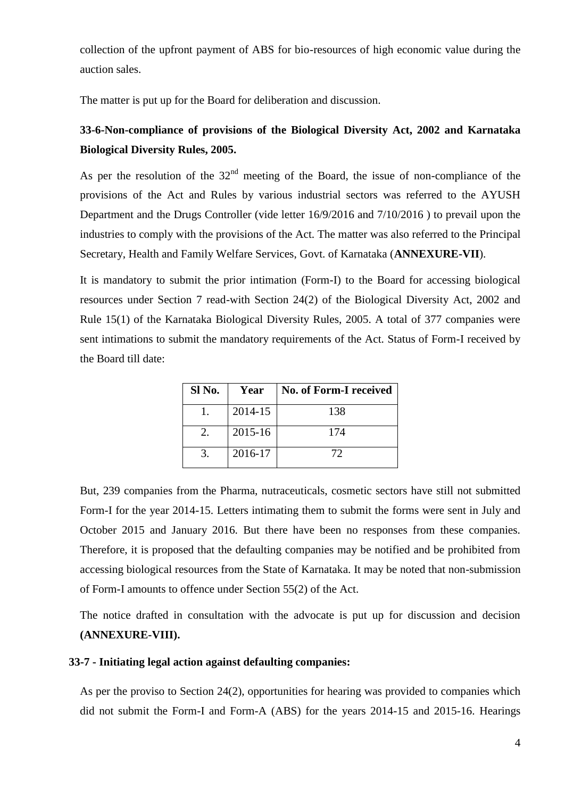collection of the upfront payment of ABS for bio-resources of high economic value during the auction sales.

The matter is put up for the Board for deliberation and discussion.

## **33-6-Non-compliance of provisions of the Biological Diversity Act, 2002 and Karnataka Biological Diversity Rules, 2005.**

As per the resolution of the  $32<sup>nd</sup>$  meeting of the Board, the issue of non-compliance of the provisions of the Act and Rules by various industrial sectors was referred to the AYUSH Department and the Drugs Controller (vide letter 16/9/2016 and 7/10/2016 ) to prevail upon the industries to comply with the provisions of the Act. The matter was also referred to the Principal Secretary, Health and Family Welfare Services, Govt. of Karnataka (**ANNEXURE-VII**).

It is mandatory to submit the prior intimation (Form-I) to the Board for accessing biological resources under Section 7 read-with Section 24(2) of the Biological Diversity Act, 2002 and Rule 15(1) of the Karnataka Biological Diversity Rules, 2005. A total of 377 companies were sent intimations to submit the mandatory requirements of the Act. Status of Form-I received by the Board till date:

| Sl No. | Year    | No. of Form-I received |
|--------|---------|------------------------|
|        | 2014-15 | 138                    |
| 2.     | 2015-16 | 174                    |
|        | 2016-17 | 72                     |

But, 239 companies from the Pharma, nutraceuticals, cosmetic sectors have still not submitted Form-I for the year 2014-15. Letters intimating them to submit the forms were sent in July and October 2015 and January 2016. But there have been no responses from these companies. Therefore, it is proposed that the defaulting companies may be notified and be prohibited from accessing biological resources from the State of Karnataka. It may be noted that non-submission of Form-I amounts to offence under Section 55(2) of the Act.

The notice drafted in consultation with the advocate is put up for discussion and decision **(ANNEXURE-VIII).** 

## **33-7 - Initiating legal action against defaulting companies:**

As per the proviso to Section 24(2), opportunities for hearing was provided to companies which did not submit the Form-I and Form-A (ABS) for the years 2014-15 and 2015-16. Hearings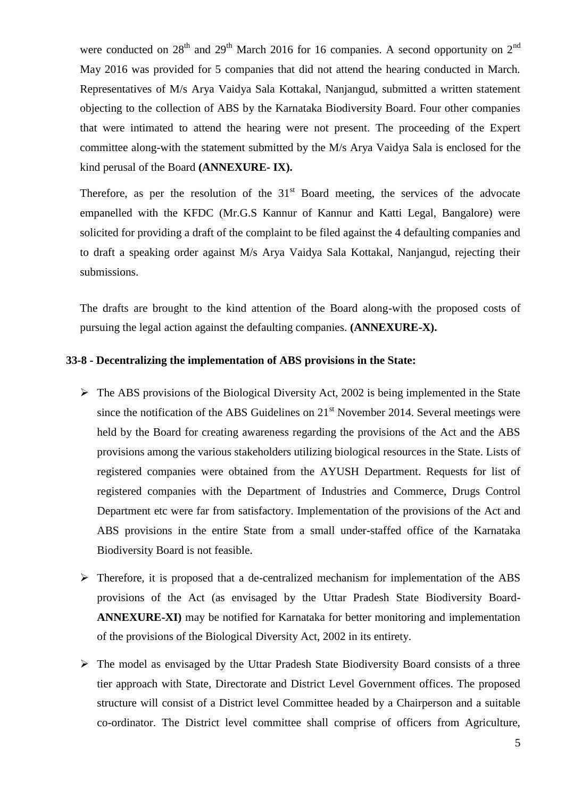were conducted on  $28<sup>th</sup>$  and  $29<sup>th</sup>$  March 2016 for 16 companies. A second opportunity on  $2<sup>nd</sup>$ May 2016 was provided for 5 companies that did not attend the hearing conducted in March. Representatives of M/s Arya Vaidya Sala Kottakal, Nanjangud, submitted a written statement objecting to the collection of ABS by the Karnataka Biodiversity Board. Four other companies that were intimated to attend the hearing were not present. The proceeding of the Expert committee along-with the statement submitted by the M/s Arya Vaidya Sala is enclosed for the kind perusal of the Board **(ANNEXURE- IX).**

Therefore, as per the resolution of the  $31<sup>st</sup>$  Board meeting, the services of the advocate empanelled with the KFDC (Mr.G.S Kannur of Kannur and Katti Legal, Bangalore) were solicited for providing a draft of the complaint to be filed against the 4 defaulting companies and to draft a speaking order against M/s Arya Vaidya Sala Kottakal, Nanjangud, rejecting their submissions.

The drafts are brought to the kind attention of the Board along-with the proposed costs of pursuing the legal action against the defaulting companies. **(ANNEXURE-X).**

## **33-8 - Decentralizing the implementation of ABS provisions in the State:**

- $\triangleright$  The ABS provisions of the Biological Diversity Act, 2002 is being implemented in the State since the notification of the ABS Guidelines on  $21<sup>st</sup>$  November 2014. Several meetings were held by the Board for creating awareness regarding the provisions of the Act and the ABS provisions among the various stakeholders utilizing biological resources in the State. Lists of registered companies were obtained from the AYUSH Department. Requests for list of registered companies with the Department of Industries and Commerce, Drugs Control Department etc were far from satisfactory. Implementation of the provisions of the Act and ABS provisions in the entire State from a small under-staffed office of the Karnataka Biodiversity Board is not feasible.
- $\triangleright$  Therefore, it is proposed that a de-centralized mechanism for implementation of the ABS provisions of the Act (as envisaged by the Uttar Pradesh State Biodiversity Board-**ANNEXURE-XI)** may be notified for Karnataka for better monitoring and implementation of the provisions of the Biological Diversity Act, 2002 in its entirety.
- $\triangleright$  The model as envisaged by the Uttar Pradesh State Biodiversity Board consists of a three tier approach with State, Directorate and District Level Government offices. The proposed structure will consist of a District level Committee headed by a Chairperson and a suitable co-ordinator. The District level committee shall comprise of officers from Agriculture,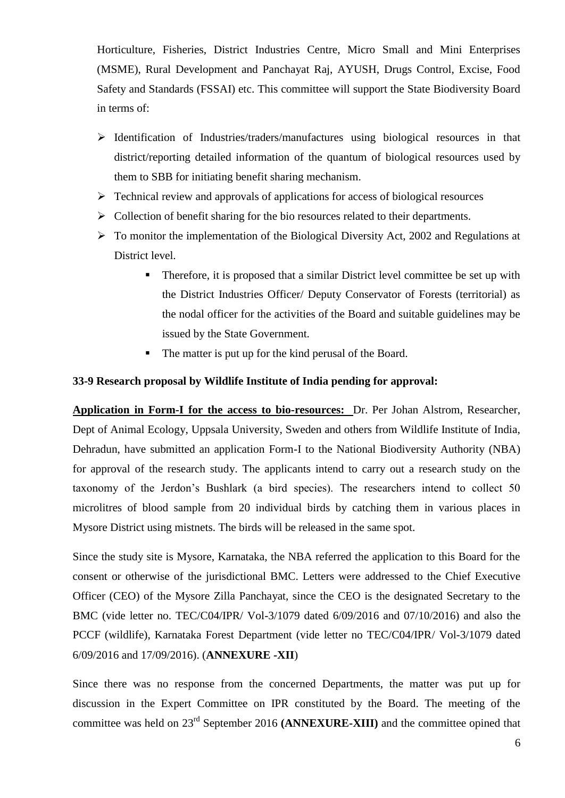Horticulture, Fisheries, District Industries Centre, Micro Small and Mini Enterprises (MSME), Rural Development and Panchayat Raj, AYUSH, Drugs Control, Excise, Food Safety and Standards (FSSAI) etc. This committee will support the State Biodiversity Board in terms of:

- $\triangleright$  Identification of Industries/traders/manufactures using biological resources in that district/reporting detailed information of the quantum of biological resources used by them to SBB for initiating benefit sharing mechanism.
- $\triangleright$  Technical review and approvals of applications for access of biological resources
- $\triangleright$  Collection of benefit sharing for the bio resources related to their departments.
- $\triangleright$  To monitor the implementation of the Biological Diversity Act, 2002 and Regulations at District level.
	- **Therefore, it is proposed that a similar District level committee be set up with** the District Industries Officer/ Deputy Conservator of Forests (territorial) as the nodal officer for the activities of the Board and suitable guidelines may be issued by the State Government.
	- The matter is put up for the kind perusal of the Board.

#### **33-9 Research proposal by Wildlife Institute of India pending for approval:**

**Application in Form-I for the access to bio-resources:** Dr. Per Johan Alstrom, Researcher, Dept of Animal Ecology, Uppsala University, Sweden and others from Wildlife Institute of India, Dehradun, have submitted an application Form-I to the National Biodiversity Authority (NBA) for approval of the research study. The applicants intend to carry out a research study on the taxonomy of the Jerdon's Bushlark (a bird species). The researchers intend to collect 50 microlitres of blood sample from 20 individual birds by catching them in various places in Mysore District using mistnets. The birds will be released in the same spot.

Since the study site is Mysore, Karnataka, the NBA referred the application to this Board for the consent or otherwise of the jurisdictional BMC. Letters were addressed to the Chief Executive Officer (CEO) of the Mysore Zilla Panchayat, since the CEO is the designated Secretary to the BMC (vide letter no. TEC/C04/IPR/ Vol-3/1079 dated 6/09/2016 and 07/10/2016) and also the PCCF (wildlife), Karnataka Forest Department (vide letter no TEC/C04/IPR/ Vol-3/1079 dated 6/09/2016 and 17/09/2016). (**ANNEXURE -XII**)

Since there was no response from the concerned Departments, the matter was put up for discussion in the Expert Committee on IPR constituted by the Board. The meeting of the committee was held on 23rd September 2016 **(ANNEXURE-XIII)** and the committee opined that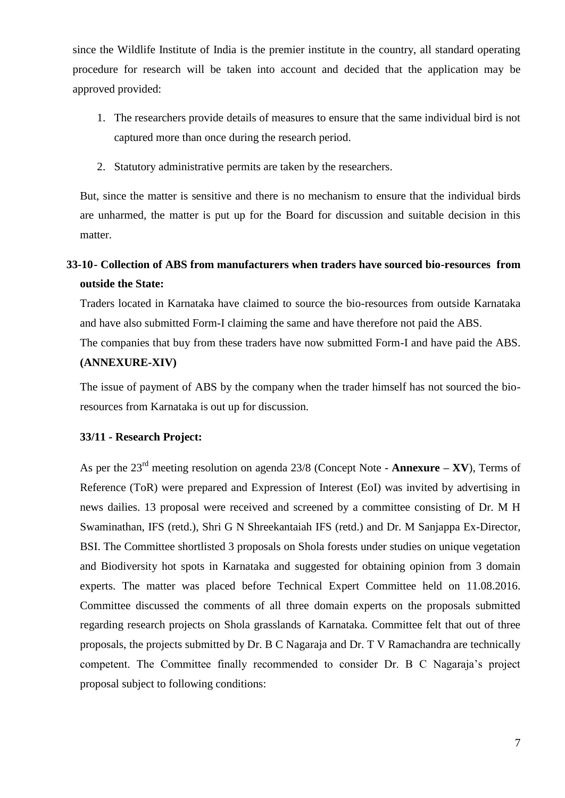since the Wildlife Institute of India is the premier institute in the country, all standard operating procedure for research will be taken into account and decided that the application may be approved provided:

- 1. The researchers provide details of measures to ensure that the same individual bird is not captured more than once during the research period.
- 2. Statutory administrative permits are taken by the researchers.

But, since the matter is sensitive and there is no mechanism to ensure that the individual birds are unharmed, the matter is put up for the Board for discussion and suitable decision in this matter.

# **33-10- Collection of ABS from manufacturers when traders have sourced bio-resources from outside the State:**

Traders located in Karnataka have claimed to source the bio-resources from outside Karnataka and have also submitted Form-I claiming the same and have therefore not paid the ABS.

The companies that buy from these traders have now submitted Form-I and have paid the ABS. **(ANNEXURE-XIV)**

The issue of payment of ABS by the company when the trader himself has not sourced the bioresources from Karnataka is out up for discussion.

## **33/11 - Research Project:**

As per the  $23<sup>rd</sup>$  meeting resolution on agenda 23/8 (Concept Note - **Annexure – XV**), Terms of Reference (ToR) were prepared and Expression of Interest (EoI) was invited by advertising in news dailies. 13 proposal were received and screened by a committee consisting of Dr. M H Swaminathan, IFS (retd.), Shri G N Shreekantaiah IFS (retd.) and Dr. M Sanjappa Ex-Director, BSI. The Committee shortlisted 3 proposals on Shola forests under studies on unique vegetation and Biodiversity hot spots in Karnataka and suggested for obtaining opinion from 3 domain experts. The matter was placed before Technical Expert Committee held on 11.08.2016. Committee discussed the comments of all three domain experts on the proposals submitted regarding research projects on Shola grasslands of Karnataka. Committee felt that out of three proposals, the projects submitted by Dr. B C Nagaraja and Dr. T V Ramachandra are technically competent. The Committee finally recommended to consider Dr. B C Nagaraja's project proposal subject to following conditions: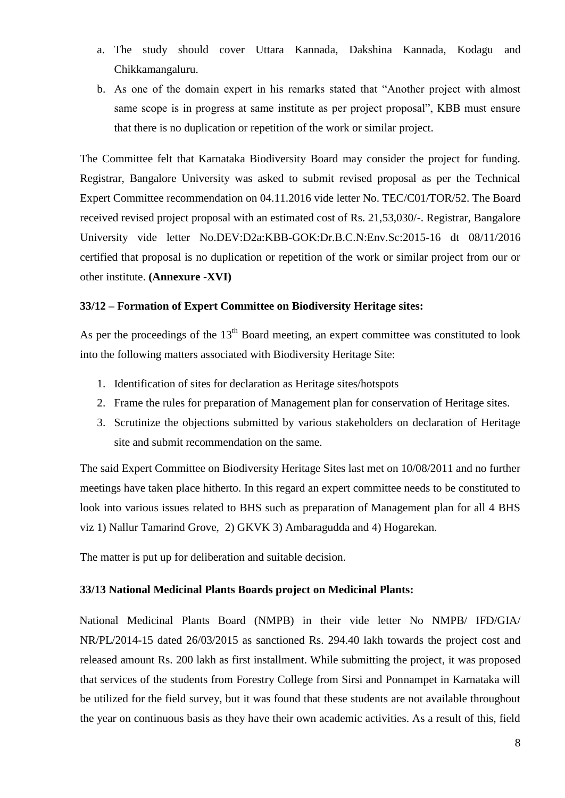- a. The study should cover Uttara Kannada, Dakshina Kannada, Kodagu and Chikkamangaluru.
- b. As one of the domain expert in his remarks stated that "Another project with almost same scope is in progress at same institute as per project proposal", KBB must ensure that there is no duplication or repetition of the work or similar project.

The Committee felt that Karnataka Biodiversity Board may consider the project for funding. Registrar, Bangalore University was asked to submit revised proposal as per the Technical Expert Committee recommendation on 04.11.2016 vide letter No. TEC/C01/TOR/52. The Board received revised project proposal with an estimated cost of Rs. 21,53,030/-. Registrar, Bangalore University vide letter No.DEV:D2a:KBB-GOK:Dr.B.C.N:Env.Sc:2015-16 dt 08/11/2016 certified that proposal is no duplication or repetition of the work or similar project from our or other institute. **(Annexure -XVI)**

### **33/12 – Formation of Expert Committee on Biodiversity Heritage sites:**

As per the proceedings of the  $13<sup>th</sup>$  Board meeting, an expert committee was constituted to look into the following matters associated with Biodiversity Heritage Site:

- 1. Identification of sites for declaration as Heritage sites/hotspots
- 2. Frame the rules for preparation of Management plan for conservation of Heritage sites.
- 3. Scrutinize the objections submitted by various stakeholders on declaration of Heritage site and submit recommendation on the same.

The said Expert Committee on Biodiversity Heritage Sites last met on 10/08/2011 and no further meetings have taken place hitherto. In this regard an expert committee needs to be constituted to look into various issues related to BHS such as preparation of Management plan for all 4 BHS viz 1) Nallur Tamarind Grove, 2) GKVK 3) Ambaragudda and 4) Hogarekan.

The matter is put up for deliberation and suitable decision.

#### **33/13 National Medicinal Plants Boards project on Medicinal Plants:**

National Medicinal Plants Board (NMPB) in their vide letter No NMPB/ IFD/GIA/ NR/PL/2014-15 dated 26/03/2015 as sanctioned Rs. 294.40 lakh towards the project cost and released amount Rs. 200 lakh as first installment. While submitting the project, it was proposed that services of the students from Forestry College from Sirsi and Ponnampet in Karnataka will be utilized for the field survey, but it was found that these students are not available throughout the year on continuous basis as they have their own academic activities. As a result of this, field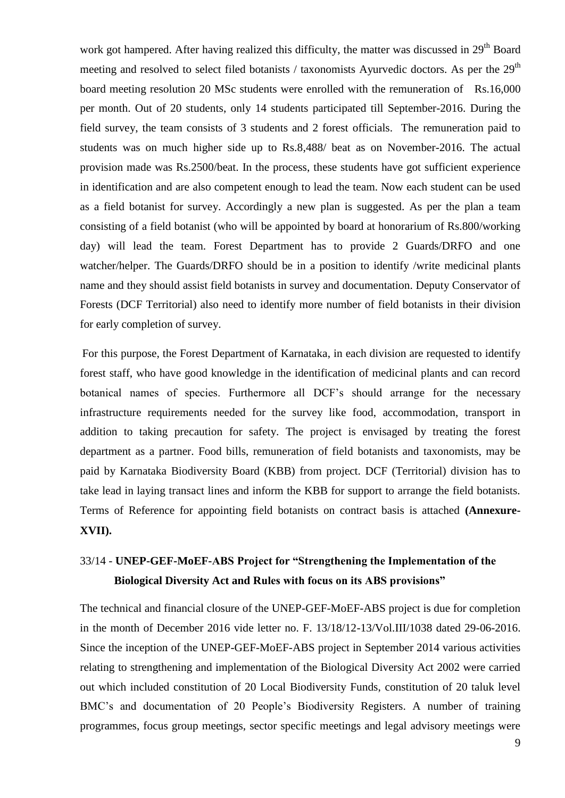work got hampered. After having realized this difficulty, the matter was discussed in 29<sup>th</sup> Board meeting and resolved to select filed botanists / taxonomists Ayurvedic doctors. As per the  $29<sup>th</sup>$ board meeting resolution 20 MSc students were enrolled with the remuneration of Rs.16,000 per month. Out of 20 students, only 14 students participated till September-2016. During the field survey, the team consists of 3 students and 2 forest officials. The remuneration paid to students was on much higher side up to Rs.8,488/ beat as on November-2016. The actual provision made was Rs.2500/beat. In the process, these students have got sufficient experience in identification and are also competent enough to lead the team. Now each student can be used as a field botanist for survey. Accordingly a new plan is suggested. As per the plan a team consisting of a field botanist (who will be appointed by board at honorarium of Rs.800/working day) will lead the team. Forest Department has to provide 2 Guards/DRFO and one watcher/helper. The Guards/DRFO should be in a position to identify /write medicinal plants name and they should assist field botanists in survey and documentation. Deputy Conservator of Forests (DCF Territorial) also need to identify more number of field botanists in their division for early completion of survey.

For this purpose, the Forest Department of Karnataka, in each division are requested to identify forest staff, who have good knowledge in the identification of medicinal plants and can record botanical names of species. Furthermore all DCF's should arrange for the necessary infrastructure requirements needed for the survey like food, accommodation, transport in addition to taking precaution for safety. The project is envisaged by treating the forest department as a partner. Food bills, remuneration of field botanists and taxonomists, may be paid by Karnataka Biodiversity Board (KBB) from project. DCF (Territorial) division has to take lead in laying transact lines and inform the KBB for support to arrange the field botanists. Terms of Reference for appointing field botanists on contract basis is attached **(Annexure-XVII).** 

## 33/14 - **UNEP-GEF-MoEF-ABS Project for "Strengthening the Implementation of the Biological Diversity Act and Rules with focus on its ABS provisions"**

The technical and financial closure of the UNEP-GEF-MoEF-ABS project is due for completion in the month of December 2016 vide letter no. F. 13/18/12-13/Vol.III/1038 dated 29-06-2016. Since the inception of the UNEP-GEF-MoEF-ABS project in September 2014 various activities relating to strengthening and implementation of the Biological Diversity Act 2002 were carried out which included constitution of 20 Local Biodiversity Funds, constitution of 20 taluk level BMC's and documentation of 20 People's Biodiversity Registers. A number of training programmes, focus group meetings, sector specific meetings and legal advisory meetings were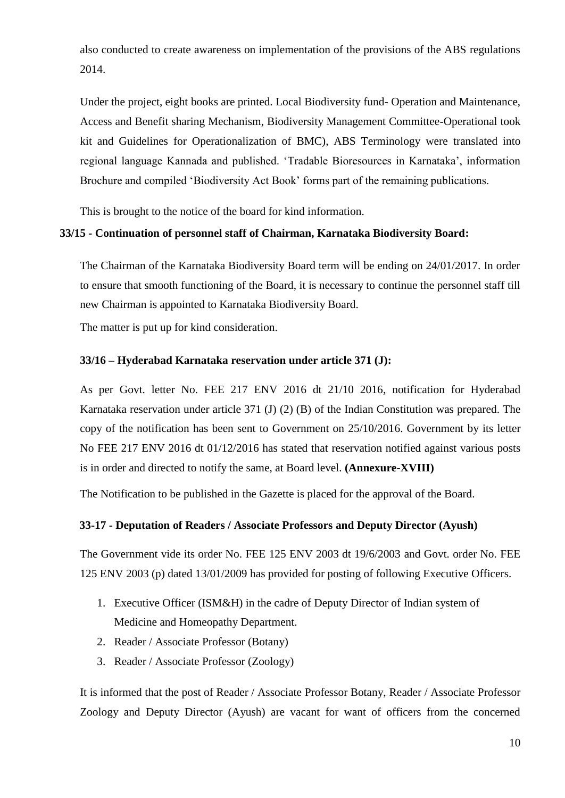also conducted to create awareness on implementation of the provisions of the ABS regulations 2014.

Under the project, eight books are printed. Local Biodiversity fund- Operation and Maintenance, Access and Benefit sharing Mechanism, Biodiversity Management Committee-Operational took kit and Guidelines for Operationalization of BMC), ABS Terminology were translated into regional language Kannada and published. 'Tradable Bioresources in Karnataka', information Brochure and compiled 'Biodiversity Act Book' forms part of the remaining publications.

This is brought to the notice of the board for kind information.

### **33/15 - Continuation of personnel staff of Chairman, Karnataka Biodiversity Board:**

The Chairman of the Karnataka Biodiversity Board term will be ending on 24/01/2017. In order to ensure that smooth functioning of the Board, it is necessary to continue the personnel staff till new Chairman is appointed to Karnataka Biodiversity Board.

The matter is put up for kind consideration.

### **33/16 – Hyderabad Karnataka reservation under article 371 (J):**

As per Govt. letter No. FEE 217 ENV 2016 dt 21/10 2016, notification for Hyderabad Karnataka reservation under article 371 (J) (2) (B) of the Indian Constitution was prepared. The copy of the notification has been sent to Government on 25/10/2016. Government by its letter No FEE 217 ENV 2016 dt 01/12/2016 has stated that reservation notified against various posts is in order and directed to notify the same, at Board level. **(Annexure-XVIII)**

The Notification to be published in the Gazette is placed for the approval of the Board.

### **33-17 - Deputation of Readers / Associate Professors and Deputy Director (Ayush)**

The Government vide its order No. FEE 125 ENV 2003 dt 19/6/2003 and Govt. order No. FEE 125 ENV 2003 (p) dated 13/01/2009 has provided for posting of following Executive Officers.

- 1. Executive Officer (ISM&H) in the cadre of Deputy Director of Indian system of Medicine and Homeopathy Department.
- 2. Reader / Associate Professor (Botany)
- 3. Reader / Associate Professor (Zoology)

It is informed that the post of Reader / Associate Professor Botany, Reader / Associate Professor Zoology and Deputy Director (Ayush) are vacant for want of officers from the concerned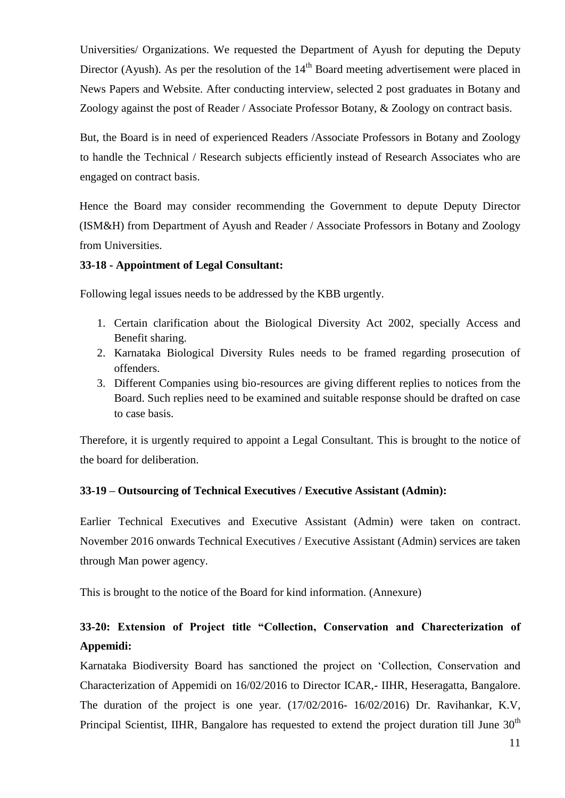Universities/ Organizations. We requested the Department of Ayush for deputing the Deputy Director (Ayush). As per the resolution of the  $14<sup>th</sup>$  Board meeting advertisement were placed in News Papers and Website. After conducting interview, selected 2 post graduates in Botany and Zoology against the post of Reader / Associate Professor Botany, & Zoology on contract basis.

But, the Board is in need of experienced Readers /Associate Professors in Botany and Zoology to handle the Technical / Research subjects efficiently instead of Research Associates who are engaged on contract basis.

Hence the Board may consider recommending the Government to depute Deputy Director (ISM&H) from Department of Ayush and Reader / Associate Professors in Botany and Zoology from Universities.

### **33-18 - Appointment of Legal Consultant:**

Following legal issues needs to be addressed by the KBB urgently.

- 1. Certain clarification about the Biological Diversity Act 2002, specially Access and Benefit sharing.
- 2. Karnataka Biological Diversity Rules needs to be framed regarding prosecution of offenders.
- 3. Different Companies using bio-resources are giving different replies to notices from the Board. Such replies need to be examined and suitable response should be drafted on case to case basis.

Therefore, it is urgently required to appoint a Legal Consultant. This is brought to the notice of the board for deliberation.

## **33-19 – Outsourcing of Technical Executives / Executive Assistant (Admin):**

Earlier Technical Executives and Executive Assistant (Admin) were taken on contract. November 2016 onwards Technical Executives / Executive Assistant (Admin) services are taken through Man power agency.

This is brought to the notice of the Board for kind information. (Annexure)

## **33-20: Extension of Project title "Collection, Conservation and Charecterization of Appemidi:**

Karnataka Biodiversity Board has sanctioned the project on 'Collection, Conservation and Characterization of Appemidi on 16/02/2016 to Director ICAR,- IIHR, Heseragatta, Bangalore. The duration of the project is one year. (17/02/2016- 16/02/2016) Dr. Ravihankar, K.V, Principal Scientist, IIHR, Bangalore has requested to extend the project duration till June  $30<sup>th</sup>$